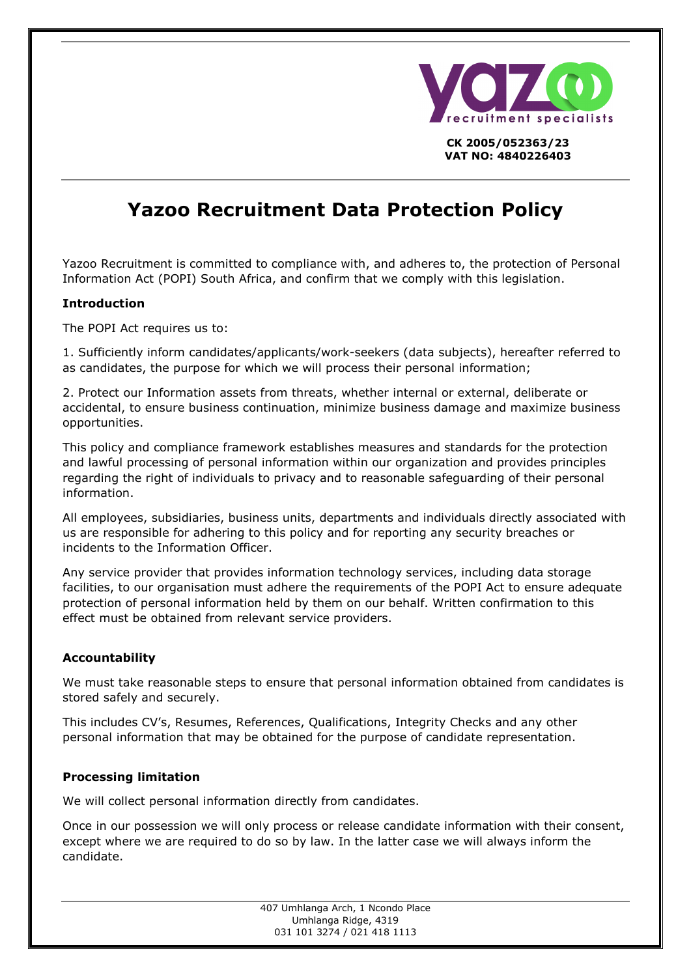

**CK 2005/052363/23 VAT NO: 4840226403**

# **Yazoo Recruitment Data Protection Policy**

Yazoo Recruitment is committed to compliance with, and adheres to, the protection of Personal Information Act (POPI) South Africa, and confirm that we comply with this legislation.

# **Introduction**

The POPI Act requires us to:

1. Sufficiently inform candidates/applicants/work-seekers (data subjects), hereafter referred to as candidates, the purpose for which we will process their personal information;

2. Protect our Information assets from threats, whether internal or external, deliberate or accidental, to ensure business continuation, minimize business damage and maximize business opportunities.

This policy and compliance framework establishes measures and standards for the protection and lawful processing of personal information within our organization and provides principles regarding the right of individuals to privacy and to reasonable safeguarding of their personal information.

All employees, subsidiaries, business units, departments and individuals directly associated with us are responsible for adhering to this policy and for reporting any security breaches or incidents to the Information Officer.

Any service provider that provides information technology services, including data storage facilities, to our organisation must adhere the requirements of the POPI Act to ensure adequate protection of personal information held by them on our behalf. Written confirmation to this effect must be obtained from relevant service providers.

# **Accountability**

We must take reasonable steps to ensure that personal information obtained from candidates is stored safely and securely.

This includes CV's, Resumes, References, Qualifications, Integrity Checks and any other personal information that may be obtained for the purpose of candidate representation.

#### **Processing limitation**

We will collect personal information directly from candidates.

Once in our possession we will only process or release candidate information with their consent, except where we are required to do so by law. In the latter case we will always inform the candidate.

> 407 Umhlanga Arch, 1 Ncondo Place Umhlanga Ridge, 4319 031 101 3274 / 021 418 1113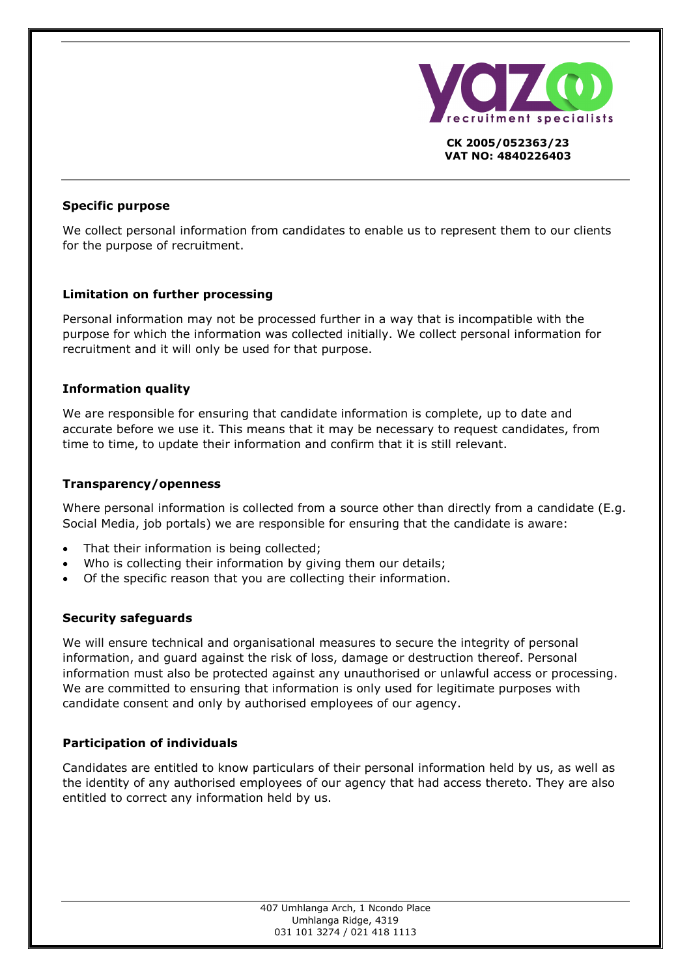

**CK 2005/052363/23 VAT NO: 4840226403**

## **Specific purpose**

We collect personal information from candidates to enable us to represent them to our clients for the purpose of recruitment.

# **Limitation on further processing**

Personal information may not be processed further in a way that is incompatible with the purpose for which the information was collected initially. We collect personal information for recruitment and it will only be used for that purpose.

## **Information quality**

We are responsible for ensuring that candidate information is complete, up to date and accurate before we use it. This means that it may be necessary to request candidates, from time to time, to update their information and confirm that it is still relevant.

## **Transparency/openness**

Where personal information is collected from a source other than directly from a candidate (E.g. Social Media, job portals) we are responsible for ensuring that the candidate is aware:

- That their information is being collected;
- Who is collecting their information by giving them our details;
- Of the specific reason that you are collecting their information.

# **Security safeguards**

We will ensure technical and organisational measures to secure the integrity of personal information, and guard against the risk of loss, damage or destruction thereof. Personal information must also be protected against any unauthorised or unlawful access or processing. We are committed to ensuring that information is only used for legitimate purposes with candidate consent and only by authorised employees of our agency.

# **Participation of individuals**

Candidates are entitled to know particulars of their personal information held by us, as well as the identity of any authorised employees of our agency that had access thereto. They are also entitled to correct any information held by us.